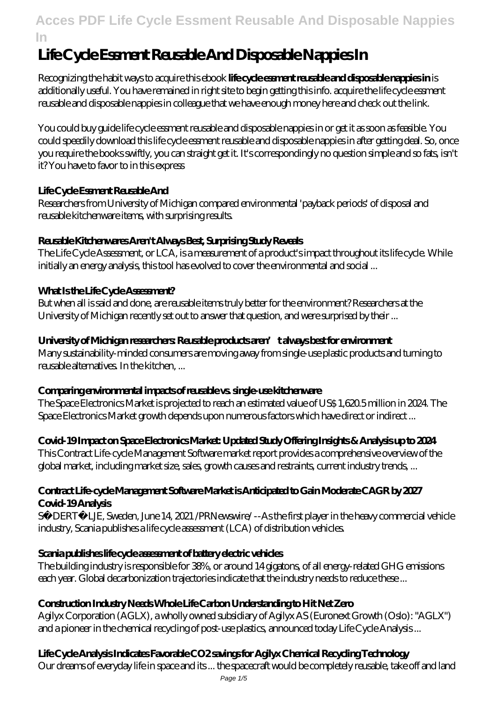# **Life Cycle Essment Reusable And Disposable Nappies In**

Recognizing the habit ways to acquire this ebook **life cycle essment reusable and disposable nappies in** is additionally useful. You have remained in right site to begin getting this info. acquire the life cycle essment reusable and disposable nappies in colleague that we have enough money here and check out the link.

You could buy guide life cycle essment reusable and disposable nappies in or get it as soon as feasible. You could speedily download this life cycle essment reusable and disposable nappies in after getting deal. So, once you require the books swiftly, you can straight get it. It's correspondingly no question simple and so fats, isn't it? You have to favor to in this express

### **Life Cycle Essment Reusable And**

Researchers from University of Michigan compared environmental 'payback periods' of disposal and reusable kitchenware items, with surprising results.

### **Reusable Kitchenwares Aren't Always Best, Surprising Study Reveals**

The Life Cycle Assessment, or LCA, is a measurement of a product's impact throughout its life cycle. While initially an energy analysis, this tool has evolved to cover the environmental and social ...

### **What Is the Life Cycle Assessment?**

But when all is said and done, are reusable items truly better for the environment? Researchers at the University of Michigan recently set out to answer that question, and were surprised by their ...

### University of Michigan researchers: Reusable products aren' talways best for environment

Many sustainability-minded consumers are moving away from single-use plastic products and turning to reusable alternatives. In the kitchen, ...

#### **Comparing environmental impacts of reusable vs. single-use kitchenware**

The Space Electronics Market is projected to reach an estimated value of US\$ 1,620.5 million in 2024. The Space Electronics Market growth depends upon numerous factors which have direct or indirect ...

### **Covid-19 Impact on Space Electronics Market: Updated Study Offering Insights & Analysis up to 2024**

This Contract Life-cycle Management Software market report provides a comprehensive overview of the global market, including market size, sales, growth causes and restraints, current industry trends, ...

#### **Contract Life-cycle Management Software Market is Anticipated to Gain Moderate CAGR by 2027 Covid-19 Analysis**

SÖ DERTÄ LJE, Sweden, June 14, 2021 /PRNewswire/ -- As the first player in the heavy commercial vehicle industry, Scania publishes a life cycle assessment (LCA) of distribution vehicles.

#### **Scania publishes life cycle assessment of battery electric vehicles**

The building industry is responsible for 38%, or around 14 gigatons, of all energy-related GHG emissions each year. Global decarbonization trajectories indicate that the industry needs to reduce these ...

### **Construction Industry Needs Whole Life Carbon Understanding to Hit Net Zero**

Agilyx Corporation (AGLX), a wholly owned subsidiary of Agilyx AS (Euronext Growth (Oslo): "AGLX") and a pioneer in the chemical recycling of post-use plastics, announced today Life Cycle Analysis ...

## **Life Cycle Analysis Indicates Favorable CO2 savings for Agilyx Chemical Recycling Technology**

Our dreams of everyday life in space and its ... the spacecraft would be completely reusable, take off and land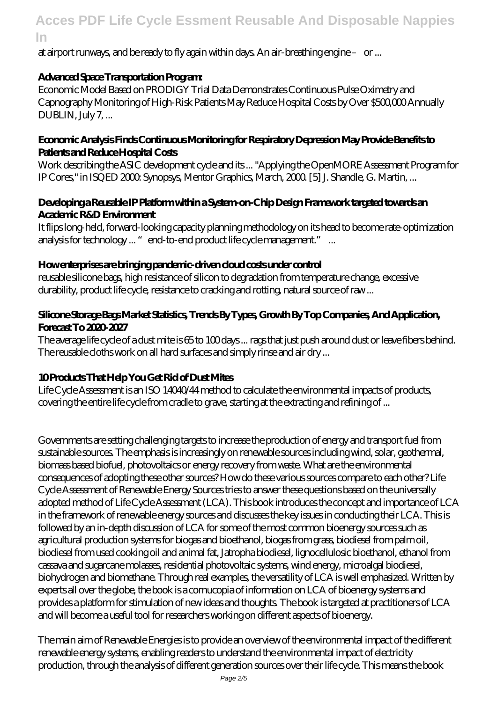at airport runways, and be ready to fly again within days. An air-breathing engine – or ...

### **Advanced Space Transportation Program:**

Economic Model Based on PRODIGY Trial Data Demonstrates Continuous Pulse Oximetry and Capnography Monitoring of High-Risk Patients May Reduce Hospital Costs by Over \$500,000 Annually DUBLIN, July 7, ...

#### **Economic Analysis Finds Continuous Monitoring for Respiratory Depression May Provide Benefits to Patients and Reduce Hospital Costs**

Work describing the ASIC development cycle and its ... "Applying the OpenMORE Assessment Program for IP Cores," in ISQED 2000: Synopsys, Mentor Graphics, March, 2000. [5] J. Shandle, G. Martin, ...

#### **Developing a Reusable IP Platform within a System-on-Chip Design Framework targeted towards an Academic R&D Environment**

It flips long-held, forward-looking capacity planning methodology on its head to become rate-optimization analysis for technology ... "end-to-end product life cycle management."...

### **How enterprises are bringing pandemic-driven cloud costs under control**

reusable silicone bags, high resistance of silicon to degradation from temperature change, excessive durability, product life cycle, resistance to cracking and rotting, natural source of raw ...

### **Silicone Storage Bags Market Statistics, Trends By Types, Growth By Top Companies, And Application, Forecast To 2020-2027**

The average life cycle of a dust mite is 65 to 100 days ... rags that just push around dust or leave fibers behind. The reusable cloths work on all hard surfaces and simply rinse and air dry ...

### **10 Products That Help You Get Rid of Dust Mites**

Life Cycle Assessment is an ISO 14040/44 method to calculate the environmental impacts of products, covering the entire life cycle from cradle to grave, starting at the extracting and refining of ...

Governments are setting challenging targets to increase the production of energy and transport fuel from sustainable sources. The emphasis is increasingly on renewable sources including wind, solar, geothermal, biomass based biofuel, photovoltaics or energy recovery from waste. What are the environmental consequences of adopting these other sources? How do these various sources compare to each other? Life Cycle Assessment of Renewable Energy Sources tries to answer these questions based on the universally adopted method of Life Cycle Assessment (LCA). This book introduces the concept and importance of LCA in the framework of renewable energy sources and discusses the key issues in conducting their LCA. This is followed by an in-depth discussion of LCA for some of the most common bioenergy sources such as agricultural production systems for biogas and bioethanol, biogas from grass, biodiesel from palm oil, biodiesel from used cooking oil and animal fat, Jatropha biodiesel, lignocellulosic bioethanol, ethanol from cassava and sugarcane molasses, residential photovoltaic systems, wind energy, microalgal biodiesel, biohydrogen and biomethane. Through real examples, the versatility of LCA is well emphasized. Written by experts all over the globe, the book is a cornucopia of information on LCA of bioenergy systems and provides a platform for stimulation of new ideas and thoughts. The book is targeted at practitioners of LCA and will become a useful tool for researchers working on different aspects of bioenergy.

The main aim of Renewable Energies is to provide an overview of the environmental impact of the different renewable energy systems, enabling readers to understand the environmental impact of electricity production, through the analysis of different generation sources over their life cycle. This means the book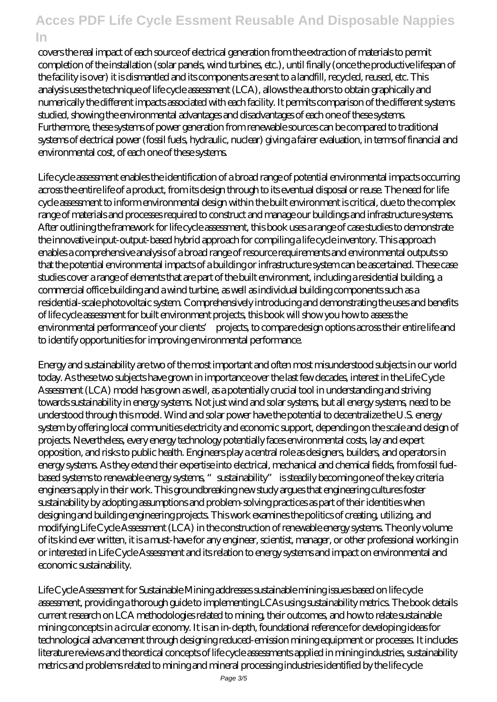covers the real impact of each source of electrical generation from the extraction of materials to permit completion of the installation (solar panels, wind turbines, etc.), until finally (once the productive lifespan of the facility is over) it is dismantled and its components are sent to a landfill, recycled, reused, etc. This analysis uses the technique of life cycle assessment (LCA), allows the authors to obtain graphically and numerically the different impacts associated with each facility. It permits comparison of the different systems studied, showing the environmental advantages and disadvantages of each one of these systems. Furthermore, these systems of power generation from renewable sources can be compared to traditional systems of electrical power (fossil fuels, hydraulic, nuclear) giving a fairer evaluation, in terms of financial and environmental cost, of each one of these systems.

Life cycle assessment enables the identification of a broad range of potential environmental impacts occurring across the entire life of a product, from its design through to its eventual disposal or reuse. The need for life cycle assessment to inform environmental design within the built environment is critical, due to the complex range of materials and processes required to construct and manage our buildings and infrastructure systems. After outlining the framework for life cycle assessment, this book uses a range of case studies to demonstrate the innovative input-output-based hybrid approach for compiling a life cycle inventory. This approach enables a comprehensive analysis of a broad range of resource requirements and environmental outputs so that the potential environmental impacts of a building or infrastructure system can be ascertained. These case studies cover a range of elements that are part of the built environment, including a residential building, a commercial office building and a wind turbine, as well as individual building components such as a residential-scale photovoltaic system. Comprehensively introducing and demonstrating the uses and benefits of life cycle assessment for built environment projects, this book will show you how to assess the environmental performance of your clients' projects, to compare design options across their entire life and to identify opportunities for improving environmental performance.

Energy and sustainability are two of the most important and often most misunderstood subjects in our world today. As these two subjects have grown in importance over the last few decades, interest in the Life Cycle Assessment (LCA) model has grown as well, as a potentially crucial tool in understanding and striving towards sustainability in energy systems. Not just wind and solar systems, but all energy systems, need to be understood through this model. Wind and solar power have the potential to decentralize the U.S. energy system by offering local communities electricity and economic support, depending on the scale and design of projects. Nevertheless, every energy technology potentially faces environmental costs, lay and expert opposition, and risks to public health. Engineers play a central role as designers, builders, and operators in energy systems. As they extend their expertise into electrical, mechanical and chemical fields, from fossil fuelbased systems to renewable energy systems, "sustainability" is steadily becoming one of the key criteria engineers apply in their work. This groundbreaking new study argues that engineering cultures foster sustainability by adopting assumptions and problem-solving practices as part of their identities when designing and building engineering projects. This work examines the politics of creating, utilizing, and modifying Life Cycle Assessment (LCA) in the construction of renewable energy systems. The only volume of its kind ever written, it is a must-have for any engineer, scientist, manager, or other professional working in or interested in Life Cycle Assessment and its relation to energy systems and impact on environmental and economic sustainability.

Life Cycle Assessment for Sustainable Mining addresses sustainable mining issues based on life cycle assessment, providing a thorough guide to implementing LCAs using sustainability metrics. The book details current research on LCA methodologies related to mining, their outcomes, and how to relate sustainable mining concepts in a circular economy. It is an in-depth, foundational reference for developing ideas for technological advancement through designing reduced-emission mining equipment or processes. It includes literature reviews and theoretical concepts of life cycle assessments applied in mining industries, sustainability metrics and problems related to mining and mineral processing industries identified by the life cycle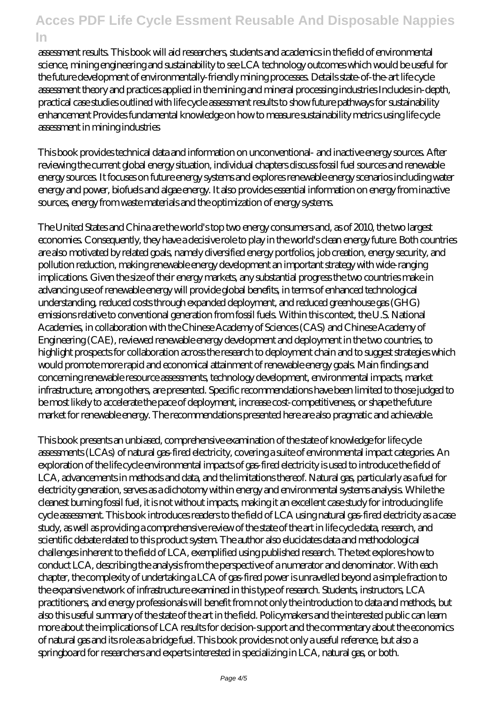assessment results. This book will aid researchers, students and academics in the field of environmental science, mining engineering and sustainability to see LCA technology outcomes which would be useful for the future development of environmentally-friendly mining processes. Details state-of-the-art life cycle assessment theory and practices applied in the mining and mineral processing industries Includes in-depth, practical case studies outlined with life cycle assessment results to show future pathways for sustainability enhancement Provides fundamental knowledge on how to measure sustainability metrics using life cycle assessment in mining industries

This book provides technical data and information on unconventional- and inactive energy sources. After reviewing the current global energy situation, individual chapters discuss fossil fuel sources and renewable energy sources. It focuses on future energy systems and explores renewable energy scenarios including water energy and power, biofuels and algae energy. It also provides essential information on energy from inactive sources, energy from waste materials and the optimization of energy systems.

The United States and China are the world's top two energy consumers and, as of 2010, the two largest economies. Consequently, they have a decisive role to play in the world's clean energy future. Both countries are also motivated by related goals, namely diversified energy portfolios, job creation, energy security, and pollution reduction, making renewable energy development an important strategy with wide-ranging implications. Given the size of their energy markets, any substantial progress the two countries make in advancing use of renewable energy will provide global benefits, in terms of enhanced technological understanding, reduced costs through expanded deployment, and reduced greenhouse gas (GHG) emissions relative to conventional generation from fossil fuels. Within this context, the U.S. National Academies, in collaboration with the Chinese Academy of Sciences (CAS) and Chinese Academy of Engineering (CAE), reviewed renewable energy development and deployment in the two countries, to highlight prospects for collaboration across the research to deployment chain and to suggest strategies which would promote more rapid and economical attainment of renewable energy goals. Main findings and concerning renewable resource assessments, technology development, environmental impacts, market infrastructure, among others, are presented. Specific recommendations have been limited to those judged to be most likely to accelerate the pace of deployment, increase cost-competitiveness, or shape the future market for renewable energy. The recommendations presented here are also pragmatic and achievable.

This book presents an unbiased, comprehensive examination of the state of knowledge for life cycle assessments (LCAs) of natural gas-fired electricity, covering a suite of environmental impact categories. An exploration of the life cycle environmental impacts of gas-fired electricity is used to introduce the field of LCA, advancements in methods and data, and the limitations thereof. Natural gas, particularly as a fuel for electricity generation, serves as a dichotomy within energy and environmental systems analysis. While the cleanest burning fossil fuel, it is not without impacts, making it an excellent case study for introducing life cycle assessment. This book introduces readers to the field of LCA using natural gas-fired electricity as a case study, as well as providing a comprehensive review of the state of the art in life cycle data, research, and scientific debate related to this product system. The author also elucidates data and methodological challenges inherent to the field of LCA, exemplified using published research. The text explores how to conduct LCA, describing the analysis from the perspective of a numerator and denominator. With each chapter, the complexity of undertaking a LCA of gas-fired power is unravelled beyond a simple fraction to the expansive network of infrastructure examined in this type of research. Students, instructors, LCA practitioners, and energy professionals will benefit from not only the introduction to data and methods, but also this useful summary of the state of the art in the field. Policymakers and the interested public can learn more about the implications of LCA results for decision-support and the commentary about the economics of natural gas and its role as a bridge fuel. This book provides not only a useful reference, but also a springboard for researchers and experts interested in specializing in LCA, natural gas, or both.